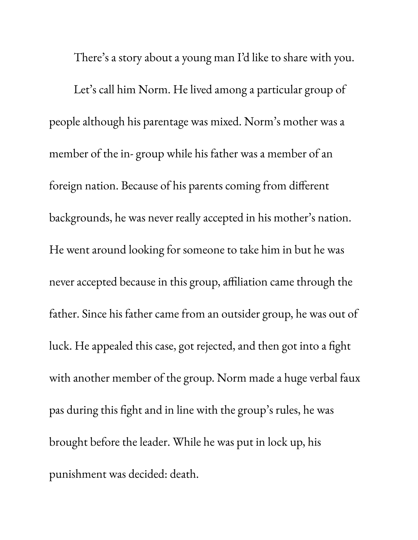There ' s a story about a young man I'd like to share with you.

Let' s call him Norm. He lived among a particular group of people although his parentage was mixed. Norm' s mother was a member of the in- group while his father was a member of an foreign nation. Because of his parents coming from different backgrounds, he was never really accepted in his mother' s nation. He went around looking for someone to take him in but he was never accepted because in this group, affiliation came through the father. Since his father came from an outsider group, he was out of luck. He appealed this case, got rejected, and then got into a fight with another member of the group. Norm made a huge verbal faux pas during this fight and in line with the group' s rules, he was brought before the leader. While he was put in lock up, his punishment was decided: death.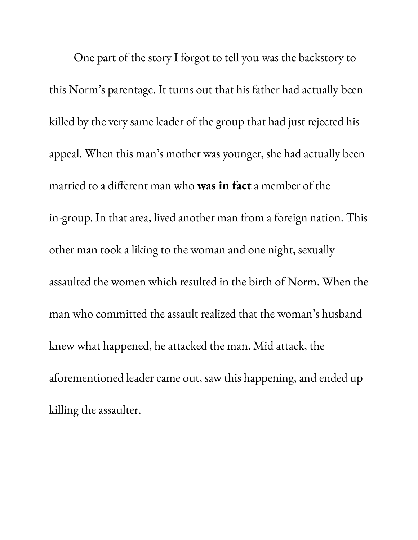One part of the story I forgot to tell you was the backstory to this Norm' s parentage. It turns out that his father had actually been killed by the very same leader of the group that had just rejected his appeal. When this man' s mother was younger, she had actually been married to a different man who **was in fact** a member of the in-group. In that area, lived another man from a foreign nation. This other man took a liking to the woman and one night, sexually assaulted the women which resulted in the birth of Norm. When the man who committed the assault realized that the woman' s husband knew what happened, he attacked the man. Mid attack, the aforementioned leader came out, saw this happening, and ended up killing the assaulter.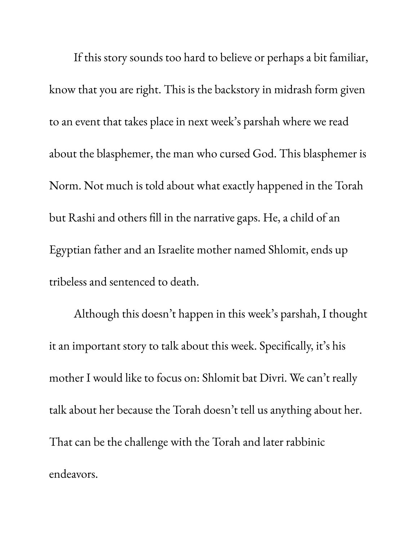If this story sounds too hard to believe or perhaps a bit familiar, know that you are right. This is the backstory in midrash form given to an event that takes place in next week' s parshah where we read about the blasphemer, the man who cursed God. This blasphemer is Norm. Not much is told about what exactly happened in the Torah but Rashi and others fill in the narrative gaps. He, a child of an Egyptian father and an Israelite mother named Shlomit, ends up tribeless and sentenced to death.

Although this doesn't happen in this week' s parshah, I thought it an important story to talk about this week. Specifically, it' s his mother I would like to focus on: Shlomit bat Divri. We can't really talk about her because the Torah doesn't tell us anything about her. That can be the challenge with the Torah and later rabbinic endeavors.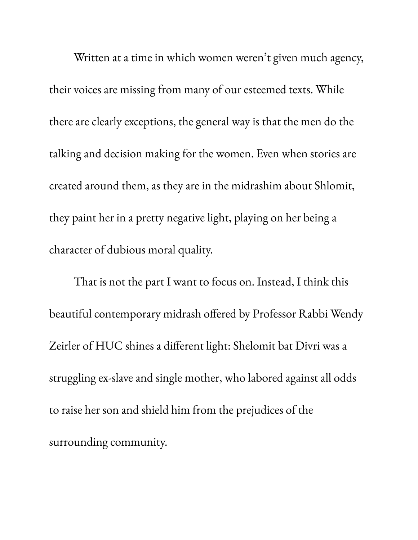Written at a time in which women weren't given much agency, their voices are missing from many of our esteemed texts. While there are clearly exceptions, the general way is that the men do the talking and decision making for the women. Even when stories are created around them, as they are in the midrashim about Shlomit, they paint her in a pretty negative light, playing on her being a character of dubious moral quality.

That is not the part I want to focus on. Instead, I think this beautiful contemporary midrash offered by Professor Rabbi Wendy Zeirler of HUC shines a different light: Shelomit bat Divri was a struggling ex-slave and single mother, who labored against all odds to raise her son and shield him from the prejudices of the surrounding community.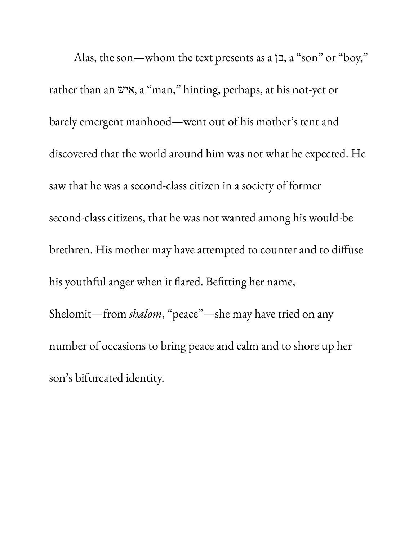Alas, the son—whom the text presents as a בן, a " son" or "boy, " rather than an איש, a "man, " hinting, perhaps, at his not-yet or barely emergent manhood—went out of his mother' s tent and discovered that the world around him was not what he expected. He saw that he was a second-class citizen in a society of former second-class citizens, that he was not wanted among his would-be brethren. His mother may have attempted to counter and to diffuse his youthful anger when it flared. Befitting her name, Shelomit—from *shalom*, "peace"—she may have tried on any number of occasions to bring peace and calm and to shore up her son' s bifurcated identity.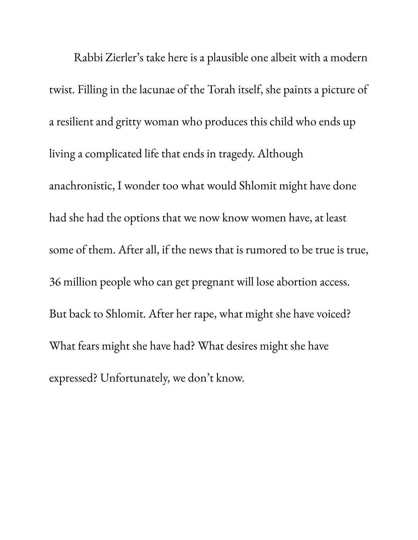Rabbi Zierler' s take here is a plausible one albeit with a modern twist. Filling in the lacunae of the Torah itself, she paints a picture of a resilient and gritty woman who produces this child who ends up living a complicated life that ends in tragedy. Although anachronistic, I wonder too what would Shlomit might have done had she had the options that we now know women have, at least some of them. After all, if the news that is rumored to be true is true, 36 million people who can get pregnant will lose abortion access. But back to Shlomit. After her rape, what might she have voiced? What fears might she have had? What desires might she have expressed? Unfortunately, we don't know.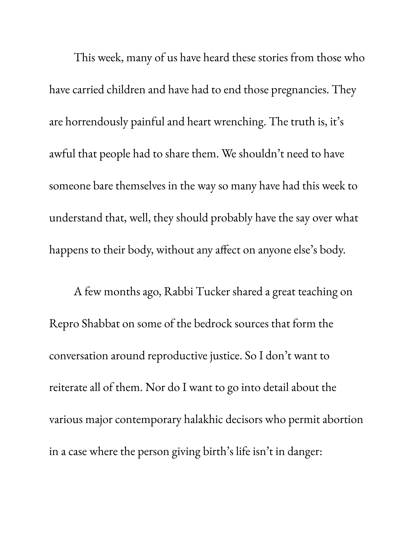This week, many of us have heard these stories from those who have carried children and have had to end those pregnancies. They are horrendously painful and heart wrenching. The truth is, it' s awful that people had to share them. We shouldn't need to have someone bare themselves in the way so many have had this week to understand that, well, they should probably have the say over what happens to their body, without any affect on anyone else ' s body.

A few months ago, Rabbi Tucker shared a great teaching on Repro Shabbat on some of the bedrock sources that form the conversation around reproductive justice. So I don't want to reiterate all of them. Nor do I want to go into detail about the various major contemporary halakhic decisors who permit abortion in a case where the person giving birth' s life isn't in danger: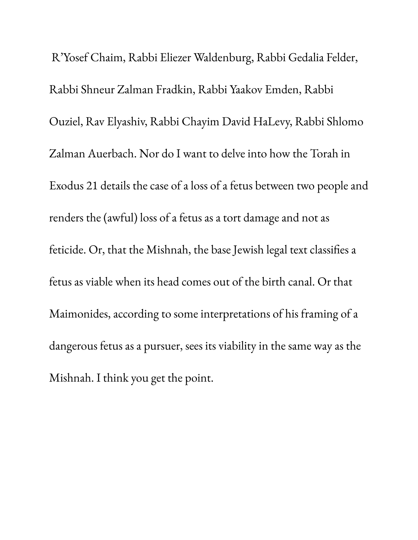R'Yosef Chaim, Rabbi Eliezer Waldenburg, Rabbi Gedalia Felder, Rabbi Shneur Zalman Fradkin, Rabbi Yaakov Emden, Rabbi Ouziel, Rav Elyashiv, Rabbi Chayim David HaLevy, Rabbi Shlomo Zalman Auerbach. Nor do I want to delve into how the Torah in Exodus 21 details the case of a loss of a fetus between two people and renders the (awful) loss of a fetus as a tort damage and not as feticide. Or, that the Mishnah, the base Jewish legal text classifies a fetus as viable when its head comes out of the birth canal. Or that Maimonides, according to some interpretations of his framing of a dangerous fetus as a pursuer, sees its viability in the same way as the Mishnah. I think you get the point.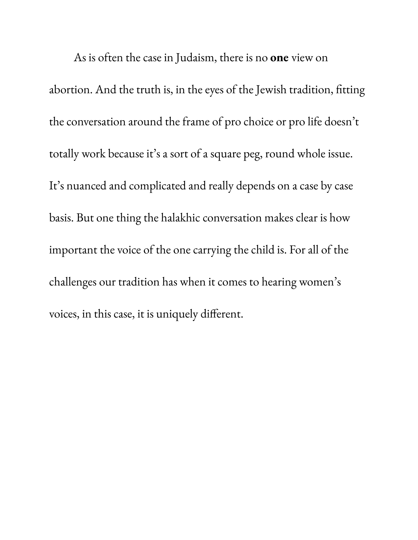As is often the case in Judaism, there is no **one** view on abortion. And the truth is, in the eyes of the Jewish tradition, fitting the conversation around the frame of pro choice or pro life doesn't totally work because it' s a sort of a square peg, round whole issue. It' s nuanced and complicated and really depends on a case by case basis. But one thing the halakhic conversation makes clear is how important the voice of the one carrying the child is. For all of the challenges our tradition has when it comes to hearing women' s voices, in this case, it is uniquely different.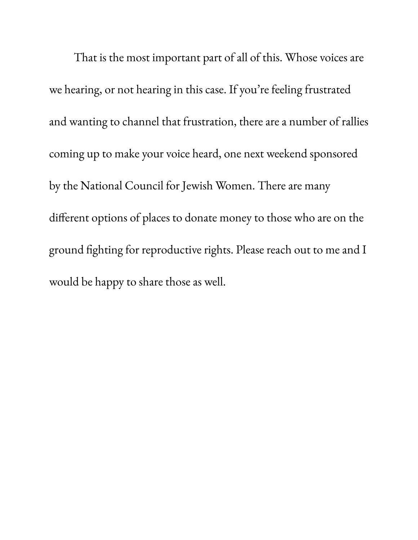That is the most important part of all of this. Whose voices are we hearing, or not hearing in this case. If you 're feeling frustrated and wanting to channel that frustration, there are a number of rallies coming up to make your voice heard, one next weekend sponsored by the National Council for Jewish Women. There are many different options of places to donate money to those who are on the ground fighting for reproductive rights. Please reach out to me and I would be happy to share those as well.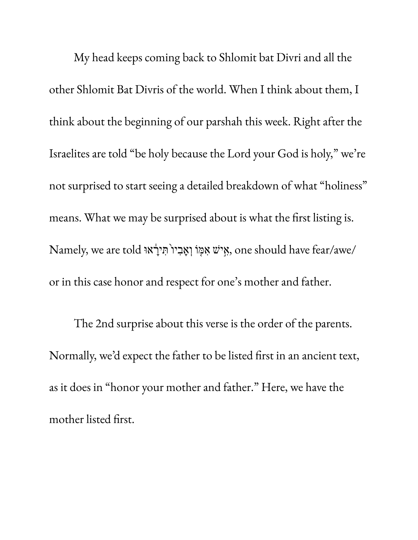My head keeps coming back to Shlomit bat Divri and all the other Shlomit Bat Divris of the world. When I think about them, I think about the beginning of our parshah this week. Right after the Israelites are told "be holy because the Lord your God is holy, " we 're not surprised to start seeing a detailed breakdown of what "holiness " means. What we may be surprised about is what the first listing is. /awe/fear have should one , ִ֣איׁש ִאּ֤מֹו ְוָא ִב ֙יו ִּת ָ֔יראּו told are we ,Namely or in this case honor and respect for one ' s mother and father.

The 2nd surprise about this verse is the order of the parents. Normally, we 'd expect the father to be listed first in an ancient text, as it does in "honor your mother and father." Here, we have the mother listed first.